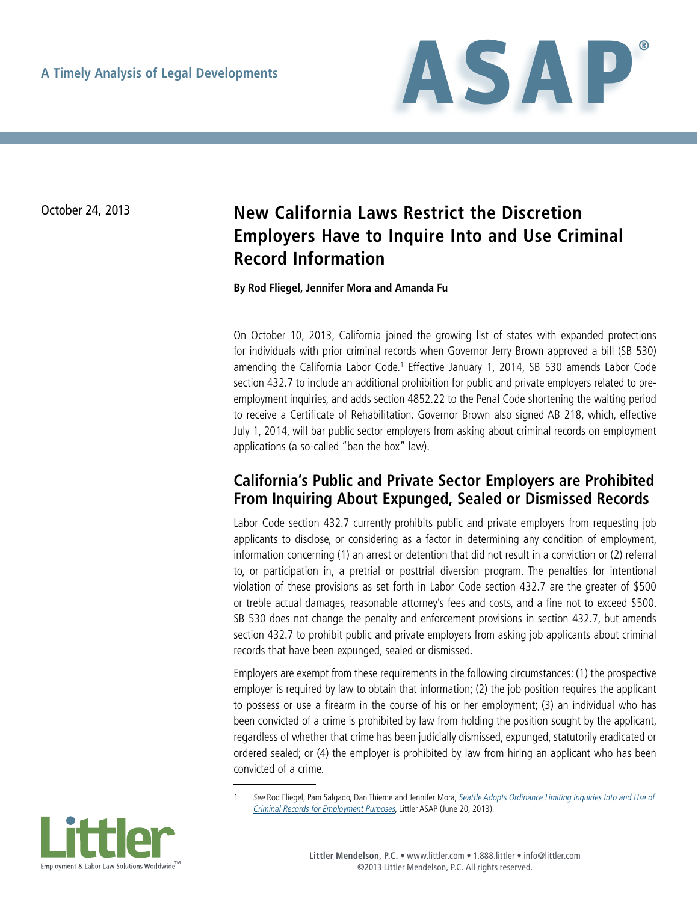

# October 24, 2013 **New California Laws Restrict the Discretion Employers Have to Inquire Into and Use Criminal Record Information**

#### **By Rod Fliegel, Jennifer Mora and Amanda Fu**

On October 10, 2013, California joined the growing list of states with expanded protections for individuals with prior criminal records when Governor Jerry Brown approved a bill (SB 530) amending the California Labor Code.<sup>1</sup> Effective January 1, 2014, SB 530 amends Labor Code section 432.7 to include an additional prohibition for public and private employers related to preemployment inquiries, and adds section 4852.22 to the Penal Code shortening the waiting period to receive a Certificate of Rehabilitation. Governor Brown also signed AB 218, which, effective July 1, 2014, will bar public sector employers from asking about criminal records on employment applications (a so-called "ban the box" law).

### **California's Public and Private Sector Employers are Prohibited From Inquiring About Expunged, Sealed or Dismissed Records**

Labor Code section 432.7 currently prohibits public and private employers from requesting job applicants to disclose, or considering as a factor in determining any condition of employment, information concerning (1) an arrest or detention that did not result in a conviction or (2) referral to, or participation in, a pretrial or posttrial diversion program. The penalties for intentional violation of these provisions as set forth in Labor Code section 432.7 are the greater of \$500 or treble actual damages, reasonable attorney's fees and costs, and a fine not to exceed \$500. SB 530 does not change the penalty and enforcement provisions in section 432.7, but amends section 432.7 to prohibit public and private employers from asking job applicants about criminal records that have been expunged, sealed or dismissed.

Employers are exempt from these requirements in the following circumstances: (1) the prospective employer is required by law to obtain that information; (2) the job position requires the applicant to possess or use a firearm in the course of his or her employment; (3) an individual who has been convicted of a crime is prohibited by law from holding the position sought by the applicant, regardless of whether that crime has been judicially dismissed, expunged, statutorily eradicated or ordered sealed; or (4) the employer is prohibited by law from hiring an applicant who has been convicted of a crime.

See Rod Fliegel, Pam Salgado, Dan Thieme and Jennifer Mora, Seattle Adopts Ordinance Limiting Inquiries Into and Use of [Criminal Records for Employment Purposes](http://www.littler.com/publication-press/publication/seattle-adopts-ordinance-limiting-inquiries-and-use-criminal-records-e), Littler ASAP (June 20, 2013).

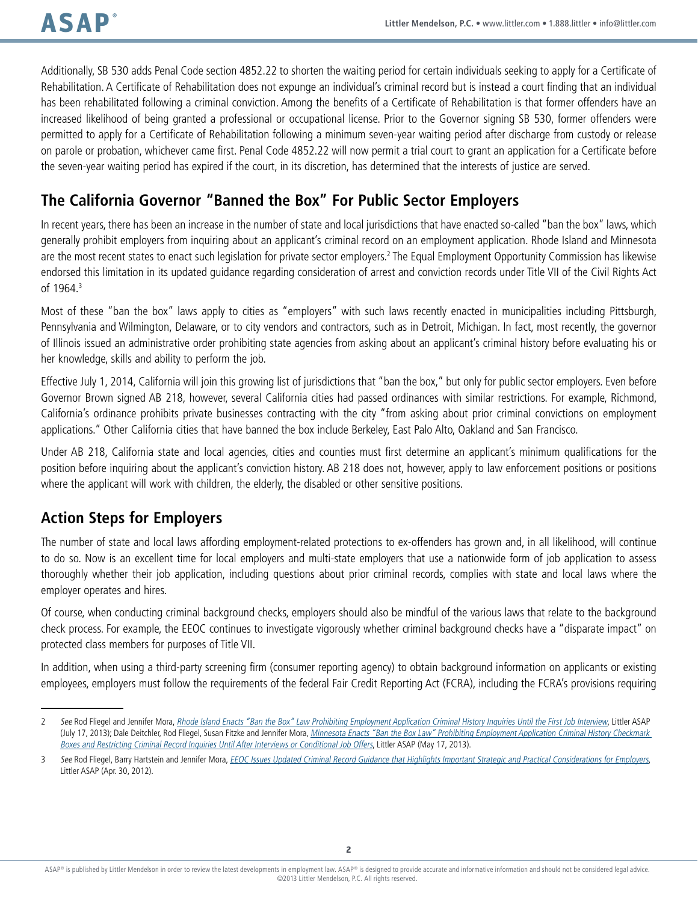Additionally, SB 530 adds Penal Code section 4852.22 to shorten the waiting period for certain individuals seeking to apply for a Certificate of Rehabilitation. A Certificate of Rehabilitation does not expunge an individual's criminal record but is instead a court finding that an individual has been rehabilitated following a criminal conviction. Among the benefits of a Certificate of Rehabilitation is that former offenders have an increased likelihood of being granted a professional or occupational license. Prior to the Governor signing SB 530, former offenders were permitted to apply for a Certificate of Rehabilitation following a minimum seven-year waiting period after discharge from custody or release on parole or probation, whichever came first. Penal Code 4852.22 will now permit a trial court to grant an application for a Certificate before the seven-year waiting period has expired if the court, in its discretion, has determined that the interests of justice are served.

## **The California Governor "Banned the Box" For Public Sector Employers**

In recent years, there has been an increase in the number of state and local jurisdictions that have enacted so-called "ban the box" laws, which generally prohibit employers from inquiring about an applicant's criminal record on an employment application. Rhode Island and Minnesota are the most recent states to enact such legislation for private sector employers.<sup>2</sup> The Equal Employment Opportunity Commission has likewise endorsed this limitation in its updated guidance regarding consideration of arrest and conviction records under Title VII of the Civil Rights Act of 1964.3

Most of these "ban the box" laws apply to cities as "employers" with such laws recently enacted in municipalities including Pittsburgh, Pennsylvania and Wilmington, Delaware, or to city vendors and contractors, such as in Detroit, Michigan. In fact, most recently, the governor of Illinois issued an administrative order prohibiting state agencies from asking about an applicant's criminal history before evaluating his or her knowledge, skills and ability to perform the job.

Effective July 1, 2014, California will join this growing list of jurisdictions that "ban the box," but only for public sector employers. Even before Governor Brown signed AB 218, however, several California cities had passed ordinances with similar restrictions. For example, Richmond, California's ordinance prohibits private businesses contracting with the city "from asking about prior criminal convictions on employment applications." Other California cities that have banned the box include Berkeley, East Palo Alto, Oakland and San Francisco.

Under AB 218, California state and local agencies, cities and counties must first determine an applicant's minimum qualifications for the position before inquiring about the applicant's conviction history. AB 218 does not, however, apply to law enforcement positions or positions where the applicant will work with children, the elderly, the disabled or other sensitive positions.

## **Action Steps for Employers**

The number of state and local laws affording employment-related protections to ex-offenders has grown and, in all likelihood, will continue to do so. Now is an excellent time for local employers and multi-state employers that use a nationwide form of job application to assess thoroughly whether their job application, including questions about prior criminal records, complies with state and local laws where the employer operates and hires.

Of course, when conducting criminal background checks, employers should also be mindful of the various laws that relate to the background check process. For example, the EEOC continues to investigate vigorously whether criminal background checks have a "disparate impact" on protected class members for purposes of Title VII.

In addition, when using a third-party screening firm (consumer reporting agency) to obtain background information on applicants or existing employees, employers must follow the requirements of the federal Fair Credit Reporting Act (FCRA), including the FCRA's provisions requiring

<sup>2</sup> See Rod Fliegel and Jennifer Mora, [Rhode Island Enacts "Ban the Box" Law Prohibiting Employment Application Criminal History Inquiries Until the First Job Interview](http://www.littler.com/publication-press/publication/rhode-island-enacts-ban-box-law-prohibiting-employment-application-cri), Littler ASAP (July 17, 2013); Dale Deitchler, Rod Fliegel, Susan Fitzke and Jennifer Mora, *Minnesota Enacts "Ban the Box Law" Prohibiting Employment Application Criminal History Checkmark* [Boxes and Restricting Criminal Record Inquiries Until After Interviews or Conditional Job Offers](http://www.littler.com/publication-press/publication/minnesota-enacts-ban-box-law-prohibiting-employment-application-crimi), Littler ASAP (May 17, 2013).

<sup>3</sup> See Rod Fliegel, Barry Hartstein and Jennifer Mora, [EEOC Issues Updated Criminal Record Guidance that Highlights Important Strategic and Practical Considerations for Employers](http://www.littler.com/publication-press/publication/eeoc-issues-updated-criminal-record-guidance-highlights-important-stra), Littler ASAP (Apr. 30, 2012).